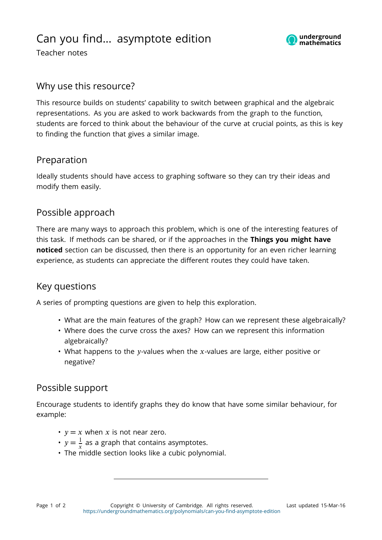

Teacher notes

### Why use this resource?

This resource builds on students' capability to switch between graphical and the algebraic representations. As you are asked to work backwards from the graph to the function, students are forced to think about the behaviour of the curve at crucial points, as this is key to finding the function that gives a similar image.

#### Preparation

Ideally students should have access to graphing software so they can try their ideas and modify them easily.

# Possible approach

There are many ways to approach this problem, which is one of the interesting features of this task. If methods can be shared, or if the approaches in the **Things you might have noticed** section can be discussed, then there is an opportunity for an even richer learning experience, as students can appreciate the different routes they could have taken.

#### Key questions

A series of prompting questions are given to help this exploration.

- What are the main features of the graph? How can we represent these algebraically?
- Where does the curve cross the axes? How can we represent this information algebraically?
- What happens to the y-values when the x-values are large, either positive or negative?

# Possible support

Encourage students to identify graphs they do know that have some similar behaviour, for example:

- $y = x$  when x is not near zero.
- $y = \frac{1}{x}$  as a graph that contains asymptotes.
- The middle section looks like a cubic polynomial.